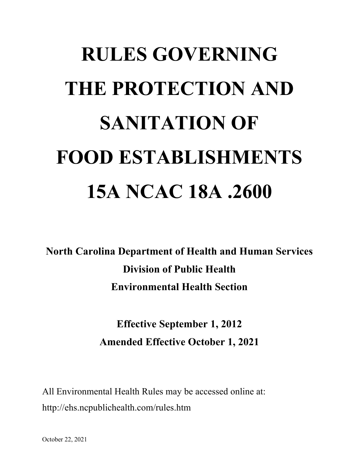# **RULES GOVERNING THE PROTECTION AND SANITATION OF FOOD ESTABLISHMENTS 15A NCAC 18A .2600**

**North Carolina Department of Health and Human Services Division of Public Health Environmental Health Section**

> **Effective September 1, 2012 Amended Effective October 1, 2021**

All Environmental Health Rules may be accessed online at: http://ehs.ncpublichealth.com/rules.htm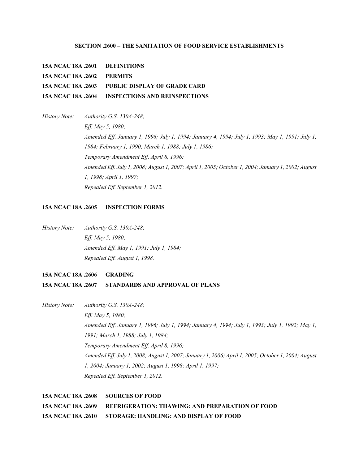## **SECTION .2600 – THE SANITATION OF FOOD SERVICE ESTABLISHMENTS**

**15A NCAC 18A .2601 DEFINITIONS**

**15A NCAC 18A .2602 PERMITS**

**15A NCAC 18A .2603 PUBLIC DISPLAY OF GRADE CARD**

**15A NCAC 18A .2604 INSPECTIONS AND REINSPECTIONS**

*History Note: Authority G.S. 130A-248; Eff. May 5, 1980; Amended Eff. January 1, 1996; July 1, 1994; January 4, 1994; July 1, 1993; May 1, 1991; July 1, 1984; February 1, 1990; March 1, 1988; July 1, 1986; Temporary Amendment Eff. April 8, 1996; Amended Eff. July 1, 2008; August 1, 2007; April 1, 2005; October 1, 2004; January 1, 2002; August 1, 1998; April 1, 1997; Repealed Eff. September 1, 2012.*

## **15A NCAC 18A .2605 INSPECTION FORMS**

*History Note: Authority G.S. 130A-248; Eff. May 5, 1980; Amended Eff. May 1, 1991; July 1, 1984; Repealed Eff. August 1, 1998.*

## **15A NCAC 18A .2606 GRADING**

## **15A NCAC 18A .2607 STANDARDS AND APPROVAL OF PLANS**

*History Note: Authority G.S. 130A-248; Eff. May 5, 1980; Amended Eff. January 1, 1996; July 1, 1994; January 4, 1994; July 1, 1993; July 1, 1992; May 1, 1991; March 1, 1988; July 1, 1984; Temporary Amendment Eff. April 8, 1996; Amended Eff. July 1, 2008; August 1, 2007; January 1, 2006; April 1, 2005; October 1, 2004; August 1, 2004; January 1, 2002; August 1, 1998; April 1, 1997; Repealed Eff. September 1, 2012.*

**15A NCAC 18A .2608 SOURCES OF FOOD 15A NCAC 18A .2609 REFRIGERATION: THAWING: AND PREPARATION OF FOOD 15A NCAC 18A .2610 STORAGE: HANDLING: AND DISPLAY OF FOOD**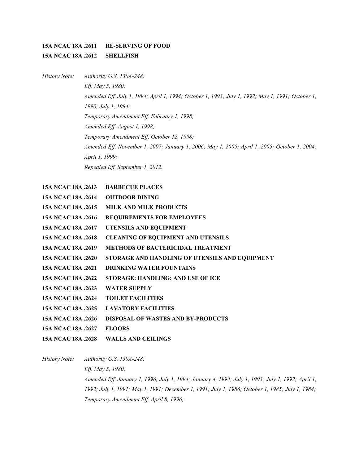# **15A NCAC 18A .2611 RE-SERVING OF FOOD 15A NCAC 18A .2612 SHELLFISH**

*History Note: Authority G.S. 130A-248; Eff. May 5, 1980; Amended Eff. July 1, 1994; April 1, 1994; October 1, 1993; July 1, 1992; May 1, 1991; October 1, 1990; July 1, 1984; Temporary Amendment Eff. February 1, 1998; Amended Eff. August 1, 1998; Temporary Amendment Eff. October 12, 1998; Amended Eff. November 1, 2007; January 1, 2006; May 1, 2005; April 1, 2005; October 1, 2004; April 1, 1999; Repealed Eff. September 1, 2012.*

| 15A NCAC 18A .2613        | <b>BARBECUE PLACES</b>                         |
|---------------------------|------------------------------------------------|
| <b>15A NCAC 18A .2614</b> | <b>OUTDOOR DINING</b>                          |
| 15A NCAC 18A .2615        | <b>MILK AND MILK PRODUCTS</b>                  |
| 15A NCAC 18A .2616        | REQUIREMENTS FOR EMPLOYEES                     |
| 15A NCAC 18A .2617        | UTENSILS AND EQUIPMENT                         |
| 15A NCAC 18A .2618        | <b>CLEANING OF EQUIPMENT AND UTENSILS</b>      |
| 15A NCAC 18A .2619        | <b>METHODS OF BACTERICIDAL TREATMENT</b>       |
| 15A NCAC 18A .2620        | STORAGE AND HANDLING OF UTENSILS AND EQUIPMENT |
| 15A NCAC 18A .2621        | <b>DRINKING WATER FOUNTAINS</b>                |
| 15A NCAC 18A .2622        | STORAGE: HANDLING: AND USE OF ICE              |
| 15A NCAC 18A .2623        | <b>WATER SUPPLY</b>                            |
| <b>15A NCAC 18A .2624</b> | <b>TOILET FACILITIES</b>                       |
| 15A NCAC 18A .2625        | <b>LAVATORY FACILITIES</b>                     |
| 15A NCAC 18A .2626        | <b>DISPOSAL OF WASTES AND BY-PRODUCTS</b>      |
| 15A NCAC 18A .2627        | <b>FLOORS</b>                                  |
| 15A NCAC 18A .2628        | <b>WALLS AND CEILINGS</b>                      |

*History Note: Authority G.S. 130A-248; Eff. May 5, 1980; Amended Eff. January 1, 1996; July 1, 1994; January 4, 1994; July 1, 1993; July 1, 1992; April 1, 1992; July 1, 1991; May 1, 1991; December 1, 1991; July 1, 1986; October 1, 1985; July 1, 1984; Temporary Amendment Eff. April 8, 1996;*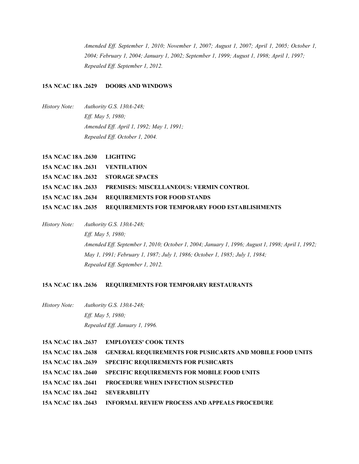*Amended Eff. September 1, 2010; November 1, 2007; August 1, 2007; April 1, 2005; October 1, 2004; February 1, 2004; January 1, 2002; September 1, 1999; August 1, 1998; April 1, 1997; Repealed Eff. September 1, 2012.*

## **15A NCAC 18A .2629 DOORS AND WINDOWS**

*History Note: Authority G.S. 130A-248; Eff. May 5, 1980; Amended Eff. April 1, 1992; May 1, 1991; Repealed Eff. October 1, 2004.*

| 15A NCAC 18A .2630 LIGHTING       |                                                                   |
|-----------------------------------|-------------------------------------------------------------------|
| 15A NCAC 18A .2631 VENTILATION    |                                                                   |
| 15A NCAC 18A .2632 STORAGE SPACES |                                                                   |
|                                   | <b>15A NCAC 18A .2633 PREMISES: MISCELLANEOUS: VERMIN CONTROL</b> |
|                                   | 15A NCAC 18A .2634 REQUIREMENTS FOR FOOD STANDS                   |
|                                   | 15A NCAC 18A .2635 REQUIREMENTS FOR TEMPORARY FOOD ESTABLISHMENTS |

*History Note: Authority G.S. 130A-248; Eff. May 5, 1980; Amended Eff. September 1, 2010; October 1, 2004; January 1, 1996; August 1, 1998; April 1, 1992; May 1, 1991; February 1, 1987; July 1, 1986; October 1, 1985; July 1, 1984; Repealed Eff. September 1, 2012.*

## **15A NCAC 18A .2636 REQUIREMENTS FOR TEMPORARY RESTAURANTS**

*History Note: Authority G.S. 130A-248; Eff. May 5, 1980; Repealed Eff. January 1, 1996.*

|                                        | 15A NCAC 18A .2637 EMPLOYEES' COOK TENTS                        |
|----------------------------------------|-----------------------------------------------------------------|
| 15A NCAC 18A .2638                     | <b>GENERAL REQUIREMENTS FOR PUSHCARTS AND MOBILE FOOD UNITS</b> |
| 15A NCAC 18A .2639                     | <b>SPECIFIC REQUIREMENTS FOR PUSHCARTS</b>                      |
| 15A NCAC 18A .2640                     | <b>SPECIFIC REQUIREMENTS FOR MOBILE FOOD UNITS</b>              |
| 15A NCAC 18A .2641                     | <b>PROCEDURE WHEN INFECTION SUSPECTED</b>                       |
| <b>15A NCAC 18A .2642 SEVERABILITY</b> |                                                                 |
| 15A NCAC 18A .2643                     | <b>INFORMAL REVIEW PROCESS AND APPEALS PROCEDURE</b>            |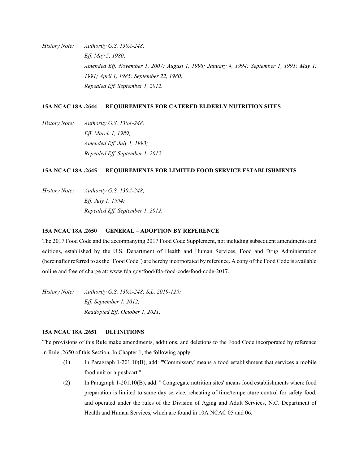*History Note: Authority G.S. 130A-248; Eff. May 5, 1980; Amended Eff. November 1, 2007; August 1, 1998; January 4, 1994; September 1, 1991; May 1, 1991; April 1, 1985; September 22, 1980; Repealed Eff. September 1, 2012.*

## **15A NCAC 18A .2644 REQUIREMENTS FOR CATERED ELDERLY NUTRITION SITES**

*History Note: Authority G.S. 130A-248; Eff. March 1, 1989; Amended Eff. July 1, 1993; Repealed Eff. September 1, 2012.*

## **15A NCAC 18A .2645 REQUIREMENTS FOR LIMITED FOOD SERVICE ESTABLISHMENTS**

*History Note: Authority G.S. 130A-248; Eff. July 1, 1994; Repealed Eff. September 1, 2012.*

## **15A NCAC 18A .2650 GENERAL – ADOPTION BY REFERENCE**

The 2017 Food Code and the accompanying 2017 Food Code Supplement, not including subsequent amendments and editions, established by the U.S. Department of Health and Human Services, Food and Drug Administration (hereinafter referred to as the "Food Code") are hereby incorporated by reference. A copy of the Food Code is available online and free of charge at: www.fda.gov/food/fda-food-code/food-code-2017.

*History Note: Authority G.S. 130A-248; S.L. 2019-129; Eff. September 1, 2012; Readopted Eff. October 1, 2021.*

## **15A NCAC 18A .2651 DEFINITIONS**

The provisions of this Rule make amendments, additions, and deletions to the Food Code incorporated by reference in Rule .2650 of this Section. In Chapter 1, the following apply:

- (1) In Paragraph 1-201.10(B), add: "'Commissary' means a food establishment that services a mobile food unit or a pushcart."
- (2) In Paragraph 1-201.10(B), add: "'Congregate nutrition sites' means food establishments where food preparation is limited to same day service, reheating of time/temperature control for safety food, and operated under the rules of the Division of Aging and Adult Services, N.C. Department of Health and Human Services, which are found in 10A NCAC 05 and 06."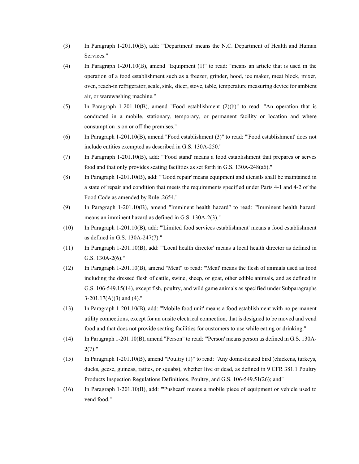- (3) In Paragraph 1-201.10(B), add: "'Department' means the N.C. Department of Health and Human Services."
- (4) In Paragraph 1-201.10(B), amend "Equipment (1)" to read: "means an article that is used in the operation of a food establishment such as a freezer, grinder, hood, ice maker, meat block, mixer, oven, reach-in refrigerator, scale, sink, slicer, stove, table, temperature measuring device for ambient air, or warewashing machine."
- (5) In Paragraph 1-201.10(B), amend "Food establishment (2)(b)" to read: "An operation that is conducted in a mobile, stationary, temporary, or permanent facility or location and where consumption is on or off the premises."
- (6) In Paragraph 1-201.10(B), amend "Food establishment (3)" to read: "'Food establishment' does not include entities exempted as described in G.S. 130A-250."
- (7) In Paragraph 1-201.10(B), add: "'Food stand' means a food establishment that prepares or serves food and that only provides seating facilities as set forth in G.S. 130A-248(a6)."
- (8) In Paragraph 1-201.10(B), add: "'Good repair' means equipment and utensils shall be maintained in a state of repair and condition that meets the requirements specified under Parts 4-1 and 4-2 of the Food Code as amended by Rule .2654."
- (9) In Paragraph 1-201.10(B), amend "Imminent health hazard" to read: "'Imminent health hazard' means an imminent hazard as defined in G.S. 130A-2(3)."
- (10) In Paragraph 1-201.10(B), add: "'Limited food services establishment' means a food establishment as defined in G.S. 130A-247(7)."
- (11) In Paragraph 1-201.10(B), add: "'Local health director' means a local health director as defined in G.S. 130A-2(6)."
- (12) In Paragraph 1-201.10(B), amend "Meat" to read: "'Meat' means the flesh of animals used as food including the dressed flesh of cattle, swine, sheep, or goat, other edible animals, and as defined in G.S. 106-549.15(14), except fish, poultry, and wild game animals as specified under Subparagraphs  $3-201.17(A)(3)$  and  $(4)$ ."
- (13) In Paragraph 1-201.10(B), add: "'Mobile food unit' means a food establishment with no permanent utility connections, except for an onsite electrical connection, that is designed to be moved and vend food and that does not provide seating facilities for customers to use while eating or drinking."
- (14) In Paragraph 1-201.10(B), amend "Person" to read: "'Person' means person as defined in G.S. 130A- $2(7)$ ."
- (15) In Paragraph 1-201.10(B), amend "Poultry (1)" to read: "Any domesticated bird (chickens, turkeys, ducks, geese, guineas, ratites, or squabs), whether live or dead, as defined in 9 CFR 381.1 Poultry Products Inspection Regulations Definitions, Poultry, and G.S. 106-549.51(26); and"
- (16) In Paragraph 1-201.10(B), add: "'Pushcart' means a mobile piece of equipment or vehicle used to vend food."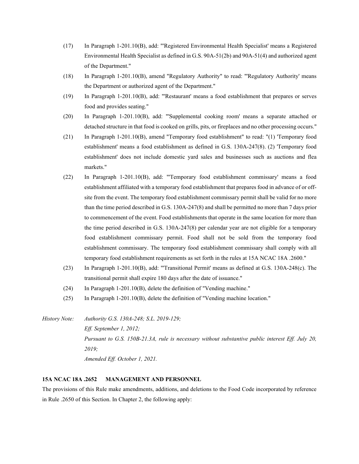- (17) In Paragraph 1-201.10(B), add: "'Registered Environmental Health Specialist' means a Registered Environmental Health Specialist as defined in G.S. 90A-51(2b) and 90A-51(4) and authorized agent of the Department."
- (18) In Paragraph 1-201.10(B), amend "Regulatory Authority" to read: "'Regulatory Authority' means the Department or authorized agent of the Department."
- (19) In Paragraph 1-201.10(B), add: "'Restaurant' means a food establishment that prepares or serves food and provides seating."
- (20) In Paragraph 1-201.10(B), add: "'Supplemental cooking room' means a separate attached or detached structure in that food is cooked on grills, pits, or fireplaces and no other processing occurs."
- (21) In Paragraph 1-201.10(B), amend "Temporary food establishment" to read: "(1) 'Temporary food establishment' means a food establishment as defined in G.S. 130A-247(8). (2) 'Temporary food establishment' does not include domestic yard sales and businesses such as auctions and flea markets."
- (22) In Paragraph 1-201.10(B), add: "'Temporary food establishment commissary' means a food establishment affiliated with a temporary food establishment that prepares food in advance of or offsite from the event. The temporary food establishment commissary permit shall be valid for no more than the time period described in G.S. 130A-247(8) and shall be permitted no more than 7 days prior to commencement of the event. Food establishments that operate in the same location for more than the time period described in G.S. 130A-247(8) per calendar year are not eligible for a temporary food establishment commissary permit. Food shall not be sold from the temporary food establishment commissary. The temporary food establishment commissary shall comply with all temporary food establishment requirements as set forth in the rules at 15A NCAC 18A .2600."
- (23) In Paragraph 1-201.10(B), add: "'Transitional Permit' means as defined at G.S. 130A-248(c). The transitional permit shall expire 180 days after the date of issuance."
- (24) In Paragraph 1-201.10(B), delete the definition of "Vending machine."
- (25) In Paragraph 1-201.10(B), delete the definition of "Vending machine location."

*History Note: Authority G.S. 130A-248; S.L. 2019-129; Eff. September 1, 2012; Pursuant to G.S. 150B-21.3A, rule is necessary without substantive public interest Eff. July 20, 2019; Amended Eff. October 1, 2021.*

#### **15A NCAC 18A .2652 MANAGEMENT AND PERSONNEL**

The provisions of this Rule make amendments, additions, and deletions to the Food Code incorporated by reference in Rule .2650 of this Section. In Chapter 2, the following apply: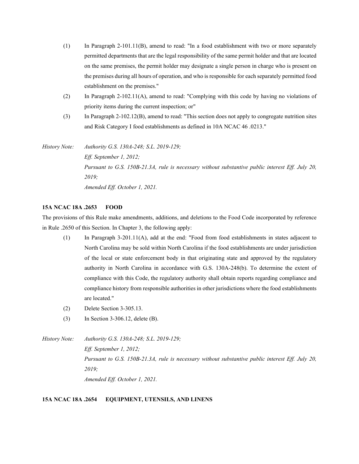- (1) In Paragraph 2-101.11(B), amend to read: "In a food establishment with two or more separately permitted departments that are the legal responsibility of the same permit holder and that are located on the same premises, the permit holder may designate a single person in charge who is present on the premises during all hours of operation, and who is responsible for each separately permitted food establishment on the premises."
- (2) In Paragraph 2-102.11(A), amend to read: "Complying with this code by having no violations of priority items during the current inspection; or"
- (3) In Paragraph 2-102.12(B), amend to read: "This section does not apply to congregate nutrition sites and Risk Category I food establishments as defined in 10A NCAC 46 .0213."

*History Note: Authority G.S. 130A-248; S.L. 2019-129; Eff. September 1, 2012; Pursuant to G.S. 150B-21.3A, rule is necessary without substantive public interest Eff. July 20, 2019; Amended Eff. October 1, 2021.*

#### **15A NCAC 18A .2653 FOOD**

The provisions of this Rule make amendments, additions, and deletions to the Food Code incorporated by reference in Rule .2650 of this Section. In Chapter 3, the following apply:

- (1) In Paragraph 3-201.11(A), add at the end: "Food from food establishments in states adjacent to North Carolina may be sold within North Carolina if the food establishments are under jurisdiction of the local or state enforcement body in that originating state and approved by the regulatory authority in North Carolina in accordance with G.S. 130A-248(b). To determine the extent of compliance with this Code, the regulatory authority shall obtain reports regarding compliance and compliance history from responsible authorities in other jurisdictions where the food establishments are located."
- (2) Delete Section 3-305.13.
- (3) In Section 3-306.12, delete (B).

*History Note: Authority G.S. 130A-248; S.L. 2019-129; Eff. September 1, 2012; Pursuant to G.S. 150B-21.3A, rule is necessary without substantive public interest Eff. July 20, 2019; Amended Eff. October 1, 2021.*

## **15A NCAC 18A .2654 EQUIPMENT, UTENSILS, AND LINENS**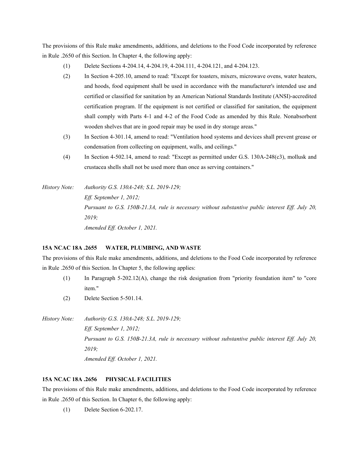The provisions of this Rule make amendments, additions, and deletions to the Food Code incorporated by reference in Rule .2650 of this Section. In Chapter 4, the following apply:

- (1) Delete Sections 4-204.14, 4-204.19, 4-204.111, 4-204.121, and 4-204.123.
- (2) In Section 4-205.10, amend to read: "Except for toasters, mixers, microwave ovens, water heaters, and hoods, food equipment shall be used in accordance with the manufacturer's intended use and certified or classified for sanitation by an American National Standards Institute (ANSI)-accredited certification program. If the equipment is not certified or classified for sanitation, the equipment shall comply with Parts 4-1 and 4-2 of the Food Code as amended by this Rule. Nonabsorbent wooden shelves that are in good repair may be used in dry storage areas."
- (3) In Section 4-301.14, amend to read: "Ventilation hood systems and devices shall prevent grease or condensation from collecting on equipment, walls, and ceilings."
- (4) In Section 4-502.14, amend to read: "Except as permitted under G.S. 130A-248(c3), mollusk and crustacea shells shall not be used more than once as serving containers."

*History Note: Authority G.S. 130A-248; S.L. 2019-129; Eff. September 1, 2012; Pursuant to G.S. 150B-21.3A, rule is necessary without substantive public interest Eff. July 20, 2019; Amended Eff. October 1, 2021.*

## **15A NCAC 18A .2655 WATER, PLUMBING, AND WASTE**

The provisions of this Rule make amendments, additions, and deletions to the Food Code incorporated by reference in Rule .2650 of this Section. In Chapter 5, the following applies:

- (1) In Paragraph 5-202.12(A), change the risk designation from "priority foundation item" to "core item."
- (2) Delete Section 5-501.14.

*History Note: Authority G.S. 130A-248; S.L. 2019-129; Eff. September 1, 2012; Pursuant to G.S. 150B-21.3A, rule is necessary without substantive public interest Eff. July 20, 2019; Amended Eff. October 1, 2021.*

## **15A NCAC 18A .2656 PHYSICAL FACILITIES**

The provisions of this Rule make amendments, additions, and deletions to the Food Code incorporated by reference in Rule .2650 of this Section. In Chapter 6, the following apply:

(1) Delete Section 6-202.17.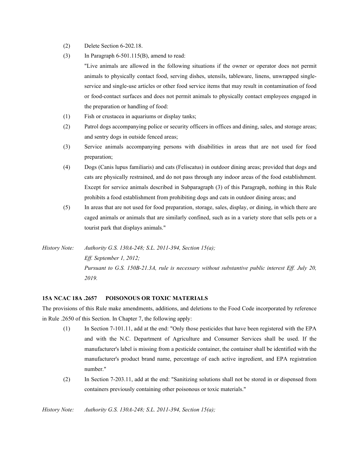- (2) Delete Section 6-202.18.
- (3) In Paragraph  $6-501.115(B)$ , amend to read:
	- "Live animals are allowed in the following situations if the owner or operator does not permit animals to physically contact food, serving dishes, utensils, tableware, linens, unwrapped singleservice and single-use articles or other food service items that may result in contamination of food or food-contact surfaces and does not permit animals to physically contact employees engaged in the preparation or handling of food:
- (1) Fish or crustacea in aquariums or display tanks;
- (2) Patrol dogs accompanying police or security officers in offices and dining, sales, and storage areas; and sentry dogs in outside fenced areas;
- (3) Service animals accompanying persons with disabilities in areas that are not used for food preparation;
- (4) Dogs (Canis lupus familiaris) and cats (Feliscatus) in outdoor dining areas; provided that dogs and cats are physically restrained, and do not pass through any indoor areas of the food establishment. Except for service animals described in Subparagraph (3) of this Paragraph, nothing in this Rule prohibits a food establishment from prohibiting dogs and cats in outdoor dining areas; and
- (5) In areas that are not used for food preparation, storage, sales, display, or dining, in which there are caged animals or animals that are similarly confined, such as in a variety store that sells pets or a tourist park that displays animals."
- *History Note: Authority G.S. 130A-248; S.L. 2011-394, Section 15(a); Eff. September 1, 2012; Pursuant to G.S. 150B-21.3A, rule is necessary without substantive public interest Eff. July 20, 2019.*

#### **15A NCAC 18A .2657 POISONOUS OR TOXIC MATERIALS**

The provisions of this Rule make amendments, additions, and deletions to the Food Code incorporated by reference in Rule .2650 of this Section. In Chapter 7, the following apply:

- (1) In Section 7-101.11, add at the end: "Only those pesticides that have been registered with the EPA and with the N.C. Department of Agriculture and Consumer Services shall be used. If the manufacturer's label is missing from a pesticide container, the container shall be identified with the manufacturer's product brand name, percentage of each active ingredient, and EPA registration number."
- (2) In Section 7-203.11, add at the end: "Sanitizing solutions shall not be stored in or dispensed from containers previously containing other poisonous or toxic materials."

*History Note: Authority G.S. 130A-248; S.L. 2011-394, Section 15(a);*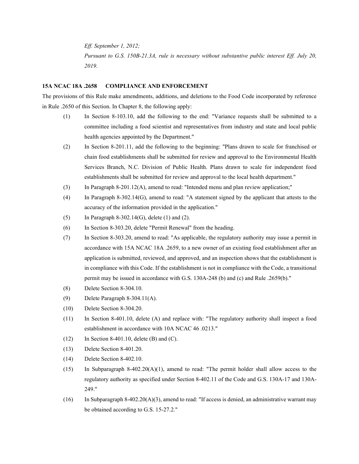*Eff. September 1, 2012; Pursuant to G.S. 150B-21.3A, rule is necessary without substantive public interest Eff. July 20, 2019.*

#### **15A NCAC 18A .2658 COMPLIANCE AND ENFORCEMENT**

The provisions of this Rule make amendments, additions, and deletions to the Food Code incorporated by reference in Rule .2650 of this Section. In Chapter 8, the following apply:

- (1) In Section 8-103.10, add the following to the end: "Variance requests shall be submitted to a committee including a food scientist and representatives from industry and state and local public health agencies appointed by the Department."
- (2) In Section 8-201.11, add the following to the beginning: "Plans drawn to scale for franchised or chain food establishments shall be submitted for review and approval to the Environmental Health Services Branch, N.C. Division of Public Health. Plans drawn to scale for independent food establishments shall be submitted for review and approval to the local health department."
- (3) In Paragraph 8-201.12(A), amend to read: "Intended menu and plan review application;"
- (4) In Paragraph 8-302.14(G), amend to read: "A statement signed by the applicant that attests to the accuracy of the information provided in the application."
- (5) In Paragraph 8-302.14(G), delete (1) and (2).
- (6) In Section 8-303.20, delete "Permit Renewal" from the heading.
- (7) In Section 8-303.20, amend to read: "As applicable, the regulatory authority may issue a permit in accordance with 15A NCAC 18A .2659, to a new owner of an existing food establishment after an application is submitted, reviewed, and approved, and an inspection shows that the establishment is in compliance with this Code. If the establishment is not in compliance with the Code, a transitional permit may be issued in accordance with G.S. 130A-248 (b) and (c) and Rule .2659(b)."
- (8) Delete Section 8-304.10.
- (9) Delete Paragraph 8-304.11(A).
- (10) Delete Section 8-304.20.
- (11) In Section 8-401.10, delete (A) and replace with: "The regulatory authority shall inspect a food establishment in accordance with 10A NCAC 46 .0213."
- (12) In Section 8-401.10, delete (B) and (C).
- (13) Delete Section 8-401.20.
- (14) Delete Section 8-402.10.
- (15) In Subparagraph 8-402.20(A)(1), amend to read: "The permit holder shall allow access to the regulatory authority as specified under Section 8-402.11 of the Code and G.S. 130A-17 and 130A-249."
- (16) In Subparagraph 8-402.20(A)(3), amend to read: "If access is denied, an administrative warrant may be obtained according to G.S. 15-27.2."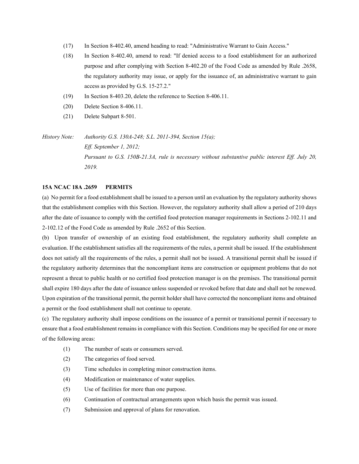- (17) In Section 8-402.40, amend heading to read: "Administrative Warrant to Gain Access."
- (18) In Section 8-402.40, amend to read: "If denied access to a food establishment for an authorized purpose and after complying with Section 8-402.20 of the Food Code as amended by Rule .2658, the regulatory authority may issue, or apply for the issuance of, an administrative warrant to gain access as provided by G.S. 15-27.2."
- (19) In Section 8-403.20, delete the reference to Section 8-406.11.
- (20) Delete Section 8-406.11.
- (21) Delete Subpart 8-501.

*History Note: Authority G.S. 130A-248; S.L. 2011-394, Section 15(a); Eff. September 1, 2012; Pursuant to G.S. 150B-21.3A, rule is necessary without substantive public interest Eff. July 20, 2019.*

## **15A NCAC 18A .2659 PERMITS**

(a) No permit for a food establishment shall be issued to a person until an evaluation by the regulatory authority shows that the establishment complies with this Section. However, the regulatory authority shall allow a period of 210 days after the date of issuance to comply with the certified food protection manager requirements in Sections 2-102.11 and 2-102.12 of the Food Code as amended by Rule .2652 of this Section.

(b) Upon transfer of ownership of an existing food establishment, the regulatory authority shall complete an evaluation. If the establishment satisfies all the requirements of the rules, a permit shall be issued. If the establishment does not satisfy all the requirements of the rules, a permit shall not be issued. A transitional permit shall be issued if the regulatory authority determines that the noncompliant items are construction or equipment problems that do not represent a threat to public health or no certified food protection manager is on the premises. The transitional permit shall expire 180 days after the date of issuance unless suspended or revoked before that date and shall not be renewed. Upon expiration of the transitional permit, the permit holder shall have corrected the noncompliant items and obtained a permit or the food establishment shall not continue to operate.

(c) The regulatory authority shall impose conditions on the issuance of a permit or transitional permit if necessary to ensure that a food establishment remains in compliance with this Section. Conditions may be specified for one or more of the following areas:

- (1) The number of seats or consumers served.
- (2) The categories of food served.
- (3) Time schedules in completing minor construction items.
- (4) Modification or maintenance of water supplies.
- (5) Use of facilities for more than one purpose.
- (6) Continuation of contractual arrangements upon which basis the permit was issued.
- (7) Submission and approval of plans for renovation.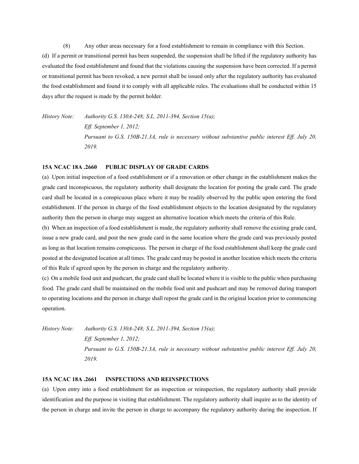(8) Any other areas necessary for a food establishment to remain in compliance with this Section.

(d) If a permit or transitional permit has been suspended, the suspension shall be lifted if the regulatory authority has evaluated the food establishment and found that the violations causing the suspension have been corrected. If a permit or transitional permit has been revoked, a new permit shall be issued only after the regulatory authority has evaluated the food establishment and found it to comply with all applicable rules. The evaluations shall be conducted within 15 days after the request is made by the permit holder.

*History Note: Authority G.S. 130A-248; S.L. 2011-394, Section 15(a); Eff. September 1, 2012; Pursuant to G.S. 150B-21.3A, rule is necessary without substantive public interest Eff. July 20, 2019.*

#### **15A NCAC 18A .2660 PUBLIC DISPLAY OF GRADE CARDS**

(a) Upon initial inspection of a food establishment or if a renovation or other change in the establishment makes the grade card inconspicuous, the regulatory authority shall designate the location for posting the grade card. The grade card shall be located in a conspicuous place where it may be readily observed by the public upon entering the food establishment. If the person in charge of the food establishment objects to the location designated by the regulatory authority then the person in charge may suggest an alternative location which meets the criteria of this Rule.

(b) When an inspection of a food establishment is made, the regulatory authority shall remove the existing grade card, issue a new grade card, and post the new grade card in the same location where the grade card was previously posted as long as that location remains conspicuous. The person in charge of the food establishment shall keep the grade card posted at the designated location at all times. The grade card may be posted in another location which meets the criteria of this Rule if agreed upon by the person in charge and the regulatory authority.

(c) On a mobile food unit and pushcart, the grade card shall be located where it is visible to the public when purchasing food. The grade card shall be maintained on the mobile food unit and pushcart and may be removed during transport to operating locations and the person in charge shall repost the grade card in the original location prior to commencing operation.

*History Note: Authority G.S. 130A-248; S.L. 2011-394, Section 15(a); Eff. September 1, 2012; Pursuant to G.S. 150B-21.3A, rule is necessary without substantive public interest Eff. July 20, 2019.*

#### **15A NCAC 18A .2661 INSPECTIONS AND REINSPECTIONS**

(a) Upon entry into a food establishment for an inspection or reinspection, the regulatory authority shall provide identification and the purpose in visiting that establishment. The regulatory authority shall inquire as to the identity of the person in charge and invite the person in charge to accompany the regulatory authority during the inspection. If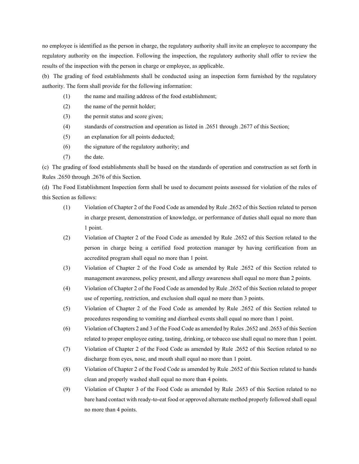no employee is identified as the person in charge, the regulatory authority shall invite an employee to accompany the regulatory authority on the inspection. Following the inspection, the regulatory authority shall offer to review the results of the inspection with the person in charge or employee, as applicable.

(b) The grading of food establishments shall be conducted using an inspection form furnished by the regulatory authority. The form shall provide for the following information:

- (1) the name and mailing address of the food establishment;
- (2) the name of the permit holder;
- (3) the permit status and score given;
- (4) standards of construction and operation as listed in .2651 through .2677 of this Section;
- (5) an explanation for all points deducted;
- (6) the signature of the regulatory authority; and
- (7) the date.

(c) The grading of food establishments shall be based on the standards of operation and construction as set forth in Rules .2650 through .2676 of this Section.

(d) The Food Establishment Inspection form shall be used to document points assessed for violation of the rules of this Section as follows:

- (1) Violation of Chapter 2 of the Food Code as amended by Rule .2652 of this Section related to person in charge present, demonstration of knowledge, or performance of duties shall equal no more than 1 point.
- (2) Violation of Chapter 2 of the Food Code as amended by Rule .2652 of this Section related to the person in charge being a certified food protection manager by having certification from an accredited program shall equal no more than 1 point.
- (3) Violation of Chapter 2 of the Food Code as amended by Rule .2652 of this Section related to management awareness, policy present, and allergy awareness shall equal no more than 2 points.
- (4) Violation of Chapter 2 of the Food Code as amended by Rule .2652 of this Section related to proper use of reporting, restriction, and exclusion shall equal no more than 3 points.
- (5) Violation of Chapter 2 of the Food Code as amended by Rule .2652 of this Section related to procedures responding to vomiting and diarrheal events shall equal no more than 1 point.
- (6) Violation of Chapters 2 and 3 of the Food Code as amended by Rules .2652 and .2653 of this Section related to proper employee eating, tasting, drinking, or tobacco use shall equal no more than 1 point.
- (7) Violation of Chapter 2 of the Food Code as amended by Rule .2652 of this Section related to no discharge from eyes, nose, and mouth shall equal no more than 1 point.
- (8) Violation of Chapter 2 of the Food Code as amended by Rule .2652 of this Section related to hands clean and properly washed shall equal no more than 4 points.
- (9) Violation of Chapter 3 of the Food Code as amended by Rule .2653 of this Section related to no bare hand contact with ready-to-eat food or approved alternate method properly followed shall equal no more than 4 points.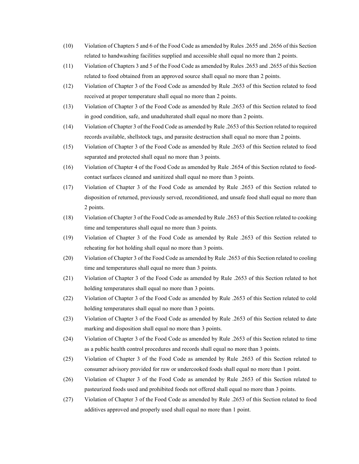- (10) Violation of Chapters 5 and 6 of the Food Code as amended by Rules .2655 and .2656 of this Section related to handwashing facilities supplied and accessible shall equal no more than 2 points.
- (11) Violation of Chapters 3 and 5 of the Food Code as amended by Rules .2653 and .2655 of this Section related to food obtained from an approved source shall equal no more than 2 points.
- (12) Violation of Chapter 3 of the Food Code as amended by Rule .2653 of this Section related to food received at proper temperature shall equal no more than 2 points.
- (13) Violation of Chapter 3 of the Food Code as amended by Rule .2653 of this Section related to food in good condition, safe, and unadulterated shall equal no more than 2 points.
- (14) Violation of Chapter 3 of the Food Code as amended by Rule .2653 of this Section related to required records available, shellstock tags, and parasite destruction shall equal no more than 2 points.
- (15) Violation of Chapter 3 of the Food Code as amended by Rule .2653 of this Section related to food separated and protected shall equal no more than 3 points.
- (16) Violation of Chapter 4 of the Food Code as amended by Rule .2654 of this Section related to foodcontact surfaces cleaned and sanitized shall equal no more than 3 points.
- (17) Violation of Chapter 3 of the Food Code as amended by Rule .2653 of this Section related to disposition of returned, previously served, reconditioned, and unsafe food shall equal no more than 2 points.
- (18) Violation of Chapter 3 of the Food Code as amended by Rule .2653 of this Section related to cooking time and temperatures shall equal no more than 3 points.
- (19) Violation of Chapter 3 of the Food Code as amended by Rule .2653 of this Section related to reheating for hot holding shall equal no more than 3 points.
- (20) Violation of Chapter 3 of the Food Code as amended by Rule .2653 of this Section related to cooling time and temperatures shall equal no more than 3 points.
- (21) Violation of Chapter 3 of the Food Code as amended by Rule .2653 of this Section related to hot holding temperatures shall equal no more than 3 points.
- (22) Violation of Chapter 3 of the Food Code as amended by Rule .2653 of this Section related to cold holding temperatures shall equal no more than 3 points.
- (23) Violation of Chapter 3 of the Food Code as amended by Rule .2653 of this Section related to date marking and disposition shall equal no more than 3 points.
- (24) Violation of Chapter 3 of the Food Code as amended by Rule .2653 of this Section related to time as a public health control procedures and records shall equal no more than 3 points.
- (25) Violation of Chapter 3 of the Food Code as amended by Rule .2653 of this Section related to consumer advisory provided for raw or undercooked foods shall equal no more than 1 point.
- (26) Violation of Chapter 3 of the Food Code as amended by Rule .2653 of this Section related to pasteurized foods used and prohibited foods not offered shall equal no more than 3 points.
- (27) Violation of Chapter 3 of the Food Code as amended by Rule .2653 of this Section related to food additives approved and properly used shall equal no more than 1 point.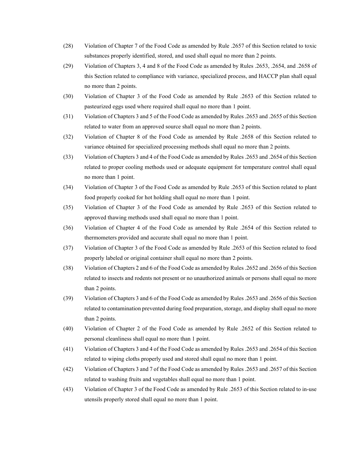- (28) Violation of Chapter 7 of the Food Code as amended by Rule .2657 of this Section related to toxic substances properly identified, stored, and used shall equal no more than 2 points.
- (29) Violation of Chapters 3, 4 and 8 of the Food Code as amended by Rules .2653, .2654, and .2658 of this Section related to compliance with variance, specialized process, and HACCP plan shall equal no more than 2 points.
- (30) Violation of Chapter 3 of the Food Code as amended by Rule .2653 of this Section related to pasteurized eggs used where required shall equal no more than 1 point.
- (31) Violation of Chapters 3 and 5 of the Food Code as amended by Rules .2653 and .2655 of this Section related to water from an approved source shall equal no more than 2 points.
- (32) Violation of Chapter 8 of the Food Code as amended by Rule .2658 of this Section related to variance obtained for specialized processing methods shall equal no more than 2 points.
- (33) Violation of Chapters 3 and 4 of the Food Code as amended by Rules .2653 and .2654 of this Section related to proper cooling methods used or adequate equipment for temperature control shall equal no more than 1 point.
- (34) Violation of Chapter 3 of the Food Code as amended by Rule .2653 of this Section related to plant food properly cooked for hot holding shall equal no more than 1 point.
- (35) Violation of Chapter 3 of the Food Code as amended by Rule .2653 of this Section related to approved thawing methods used shall equal no more than 1 point.
- (36) Violation of Chapter 4 of the Food Code as amended by Rule .2654 of this Section related to thermometers provided and accurate shall equal no more than 1 point.
- (37) Violation of Chapter 3 of the Food Code as amended by Rule .2653 of this Section related to food properly labeled or original container shall equal no more than 2 points.
- (38) Violation of Chapters 2 and 6 of the Food Code as amended by Rules .2652 and .2656 of this Section related to insects and rodents not present or no unauthorized animals or persons shall equal no more than 2 points.
- (39) Violation of Chapters 3 and 6 of the Food Code as amended by Rules .2653 and .2656 of this Section related to contamination prevented during food preparation, storage, and display shall equal no more than 2 points.
- (40) Violation of Chapter 2 of the Food Code as amended by Rule .2652 of this Section related to personal cleanliness shall equal no more than 1 point.
- (41) Violation of Chapters 3 and 4 of the Food Code as amended by Rules .2653 and .2654 of this Section related to wiping cloths properly used and stored shall equal no more than 1 point.
- (42) Violation of Chapters 3 and 7 of the Food Code as amended by Rules .2653 and .2657 of this Section related to washing fruits and vegetables shall equal no more than 1 point.
- (43) Violation of Chapter 3 of the Food Code as amended by Rule .2653 of this Section related to in-use utensils properly stored shall equal no more than 1 point.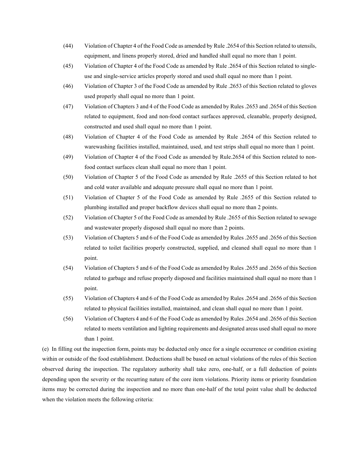- (44) Violation of Chapter 4 of the Food Code as amended by Rule .2654 of this Section related to utensils, equipment, and linens properly stored, dried and handled shall equal no more than 1 point.
- (45) Violation of Chapter 4 of the Food Code as amended by Rule .2654 of this Section related to singleuse and single-service articles properly stored and used shall equal no more than 1 point.
- (46) Violation of Chapter 3 of the Food Code as amended by Rule .2653 of this Section related to gloves used properly shall equal no more than 1 point.
- (47) Violation of Chapters 3 and 4 of the Food Code as amended by Rules .2653 and .2654 of this Section related to equipment, food and non-food contact surfaces approved, cleanable, properly designed, constructed and used shall equal no more than 1 point.
- (48) Violation of Chapter 4 of the Food Code as amended by Rule .2654 of this Section related to warewashing facilities installed, maintained, used, and test strips shall equal no more than 1 point.
- (49) Violation of Chapter 4 of the Food Code as amended by Rule.2654 of this Section related to nonfood contact surfaces clean shall equal no more than 1 point.
- (50) Violation of Chapter 5 of the Food Code as amended by Rule .2655 of this Section related to hot and cold water available and adequate pressure shall equal no more than 1 point.
- (51) Violation of Chapter 5 of the Food Code as amended by Rule .2655 of this Section related to plumbing installed and proper backflow devices shall equal no more than 2 points.
- (52) Violation of Chapter 5 of the Food Code as amended by Rule .2655 of this Section related to sewage and wastewater properly disposed shall equal no more than 2 points.
- (53) Violation of Chapters 5 and 6 of the Food Code as amended by Rules .2655 and .2656 of this Section related to toilet facilities properly constructed, supplied, and cleaned shall equal no more than 1 point.
- (54) Violation of Chapters 5 and 6 of the Food Code as amended by Rules .2655 and .2656 of this Section related to garbage and refuse properly disposed and facilities maintained shall equal no more than 1 point.
- (55) Violation of Chapters 4 and 6 of the Food Code as amended by Rules .2654 and .2656 of this Section related to physical facilities installed, maintained, and clean shall equal no more than 1 point.
- (56) Violation of Chapters 4 and 6 of the Food Code as amended by Rules .2654 and .2656 of this Section related to meets ventilation and lighting requirements and designated areas used shall equal no more than 1 point.

(e) In filling out the inspection form, points may be deducted only once for a single occurrence or condition existing within or outside of the food establishment. Deductions shall be based on actual violations of the rules of this Section observed during the inspection. The regulatory authority shall take zero, one-half, or a full deduction of points depending upon the severity or the recurring nature of the core item violations. Priority items or priority foundation items may be corrected during the inspection and no more than one-half of the total point value shall be deducted when the violation meets the following criteria: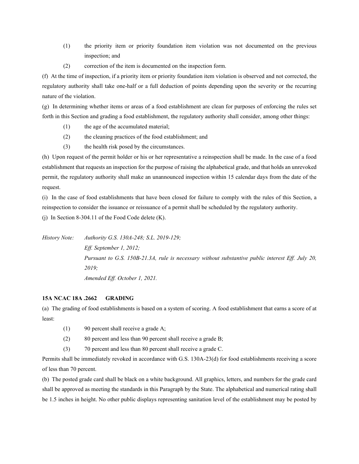- (1) the priority item or priority foundation item violation was not documented on the previous inspection; and
- (2) correction of the item is documented on the inspection form.

(f) At the time of inspection, if a priority item or priority foundation item violation is observed and not corrected, the regulatory authority shall take one-half or a full deduction of points depending upon the severity or the recurring nature of the violation.

(g) In determining whether items or areas of a food establishment are clean for purposes of enforcing the rules set forth in this Section and grading a food establishment, the regulatory authority shall consider, among other things:

- (1) the age of the accumulated material;
- (2) the cleaning practices of the food establishment; and
- (3) the health risk posed by the circumstances.

(h) Upon request of the permit holder or his or her representative a reinspection shall be made. In the case of a food establishment that requests an inspection for the purpose of raising the alphabetical grade, and that holds an unrevoked permit, the regulatory authority shall make an unannounced inspection within 15 calendar days from the date of the request.

(i) In the case of food establishments that have been closed for failure to comply with the rules of this Section, a reinspection to consider the issuance or reissuance of a permit shall be scheduled by the regulatory authority.

(i) In Section 8-304.11 of the Food Code delete  $(K)$ .

*History Note: Authority G.S. 130A-248; S.L. 2019-129; Eff. September 1, 2012; Pursuant to G.S. 150B-21.3A, rule is necessary without substantive public interest Eff. July 20, 2019; Amended Eff. October 1, 2021.*

## **15A NCAC 18A .2662 GRADING**

(a) The grading of food establishments is based on a system of scoring. A food establishment that earns a score of at least:

- (1) 90 percent shall receive a grade A;
- (2) 80 percent and less than 90 percent shall receive a grade B;
- (3) 70 percent and less than 80 percent shall receive a grade C.

Permits shall be immediately revoked in accordance with G.S. 130A-23(d) for food establishments receiving a score of less than 70 percent.

(b) The posted grade card shall be black on a white background. All graphics, letters, and numbers for the grade card shall be approved as meeting the standards in this Paragraph by the State. The alphabetical and numerical rating shall be 1.5 inches in height. No other public displays representing sanitation level of the establishment may be posted by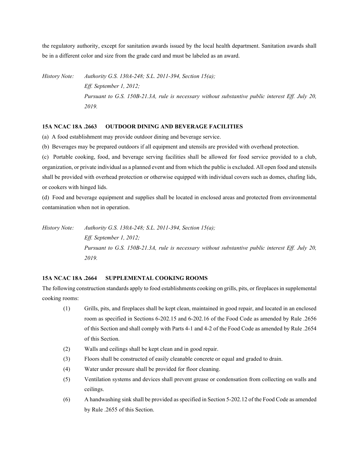the regulatory authority, except for sanitation awards issued by the local health department. Sanitation awards shall be in a different color and size from the grade card and must be labeled as an award.

*History Note: Authority G.S. 130A-248; S.L. 2011-394, Section 15(a); Eff. September 1, 2012; Pursuant to G.S. 150B-21.3A, rule is necessary without substantive public interest Eff. July 20, 2019.*

## **15A NCAC 18A .2663 OUTDOOR DINING AND BEVERAGE FACILITIES**

(a) A food establishment may provide outdoor dining and beverage service.

(b) Beverages may be prepared outdoors if all equipment and utensils are provided with overhead protection.

(c) Portable cooking, food, and beverage serving facilities shall be allowed for food service provided to a club, organization, or private individual as a planned event and from which the public is excluded. All open food and utensils shall be provided with overhead protection or otherwise equipped with individual covers such as domes, chafing lids, or cookers with hinged lids.

(d) Food and beverage equipment and supplies shall be located in enclosed areas and protected from environmental contamination when not in operation.

*History Note: Authority G.S. 130A-248; S.L. 2011-394, Section 15(a); Eff. September 1, 2012; Pursuant to G.S. 150B-21.3A, rule is necessary without substantive public interest Eff. July 20, 2019.*

## **15A NCAC 18A .2664 SUPPLEMENTAL COOKING ROOMS**

The following construction standards apply to food establishments cooking on grills, pits, or fireplaces in supplemental cooking rooms:

- (1) Grills, pits, and fireplaces shall be kept clean, maintained in good repair, and located in an enclosed room as specified in Sections 6-202.15 and 6-202.16 of the Food Code as amended by Rule .2656 of this Section and shall comply with Parts 4-1 and 4-2 of the Food Code as amended by Rule .2654 of this Section.
- (2) Walls and ceilings shall be kept clean and in good repair.
- (3) Floors shall be constructed of easily cleanable concrete or equal and graded to drain.
- (4) Water under pressure shall be provided for floor cleaning.
- (5) Ventilation systems and devices shall prevent grease or condensation from collecting on walls and ceilings.
- (6) A handwashing sink shall be provided as specified in Section 5-202.12 of the Food Code as amended by Rule .2655 of this Section.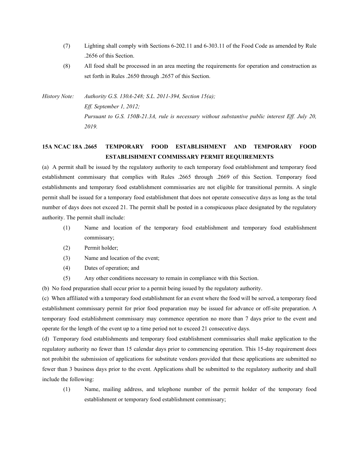- (7) Lighting shall comply with Sections 6-202.11 and 6-303.11 of the Food Code as amended by Rule .2656 of this Section.
- (8) All food shall be processed in an area meeting the requirements for operation and construction as set forth in Rules .2650 through .2657 of this Section.

*History Note: Authority G.S. 130A-248; S.L. 2011-394, Section 15(a); Eff. September 1, 2012; Pursuant to G.S. 150B-21.3A, rule is necessary without substantive public interest Eff. July 20, 2019.*

## **15A NCAC 18A .2665 TEMPORARY FOOD ESTABLISHMENT AND TEMPORARY FOOD ESTABLISHMENT COMMISSARY PERMIT REQUIREMENTS**

(a) A permit shall be issued by the regulatory authority to each temporary food establishment and temporary food establishment commissary that complies with Rules .2665 through .2669 of this Section. Temporary food establishments and temporary food establishment commissaries are not eligible for transitional permits. A single permit shall be issued for a temporary food establishment that does not operate consecutive days as long as the total number of days does not exceed 21. The permit shall be posted in a conspicuous place designated by the regulatory authority. The permit shall include:

- (1) Name and location of the temporary food establishment and temporary food establishment commissary;
- (2) Permit holder;
- (3) Name and location of the event;
- (4) Dates of operation; and
- (5) Any other conditions necessary to remain in compliance with this Section.
- (b) No food preparation shall occur prior to a permit being issued by the regulatory authority.

(c) When affiliated with a temporary food establishment for an event where the food will be served, a temporary food establishment commissary permit for prior food preparation may be issued for advance or off-site preparation. A temporary food establishment commissary may commence operation no more than 7 days prior to the event and operate for the length of the event up to a time period not to exceed 21 consecutive days.

(d) Temporary food establishments and temporary food establishment commissaries shall make application to the regulatory authority no fewer than 15 calendar days prior to commencing operation. This 15-day requirement does not prohibit the submission of applications for substitute vendors provided that these applications are submitted no fewer than 3 business days prior to the event. Applications shall be submitted to the regulatory authority and shall include the following:

(1) Name, mailing address, and telephone number of the permit holder of the temporary food establishment or temporary food establishment commissary;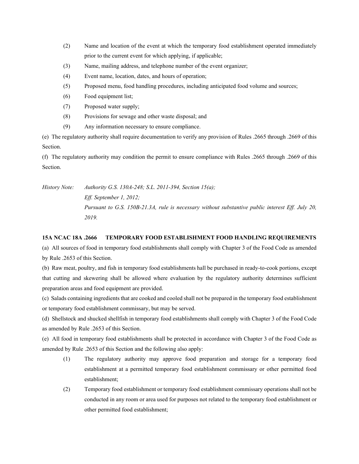- (2) Name and location of the event at which the temporary food establishment operated immediately prior to the current event for which applying, if applicable;
- (3) Name, mailing address, and telephone number of the event organizer;
- (4) Event name, location, dates, and hours of operation;
- (5) Proposed menu, food handling procedures, including anticipated food volume and sources;
- (6) Food equipment list;
- (7) Proposed water supply;
- (8) Provisions for sewage and other waste disposal; and
- (9) Any information necessary to ensure compliance.

(e) The regulatory authority shall require documentation to verify any provision of Rules .2665 through .2669 of this Section.

(f) The regulatory authority may condition the permit to ensure compliance with Rules .2665 through .2669 of this Section.

*History Note: Authority G.S. 130A-248; S.L. 2011-394, Section 15(a); Eff. September 1, 2012; Pursuant to G.S. 150B-21.3A, rule is necessary without substantive public interest Eff. July 20, 2019.*

#### **15A NCAC 18A .2666 TEMPORARY FOOD ESTABLISHMENT FOOD HANDLING REQUIREMENTS**

(a) All sources of food in temporary food establishments shall comply with Chapter 3 of the Food Code as amended by Rule .2653 of this Section.

(b) Raw meat, poultry, and fish in temporary food establishments hall be purchased in ready-to-cook portions, except that cutting and skewering shall be allowed where evaluation by the regulatory authority determines sufficient preparation areas and food equipment are provided.

(c) Salads containing ingredients that are cooked and cooled shall not be prepared in the temporary food establishment or temporary food establishment commissary, but may be served.

(d) Shellstock and shucked shellfish in temporary food establishments shall comply with Chapter 3 of the Food Code as amended by Rule .2653 of this Section.

(e) All food in temporary food establishments shall be protected in accordance with Chapter 3 of the Food Code as amended by Rule .2653 of this Section and the following also apply:

- (1) The regulatory authority may approve food preparation and storage for a temporary food establishment at a permitted temporary food establishment commissary or other permitted food establishment;
- (2) Temporary food establishment or temporary food establishment commissary operations shall not be conducted in any room or area used for purposes not related to the temporary food establishment or other permitted food establishment;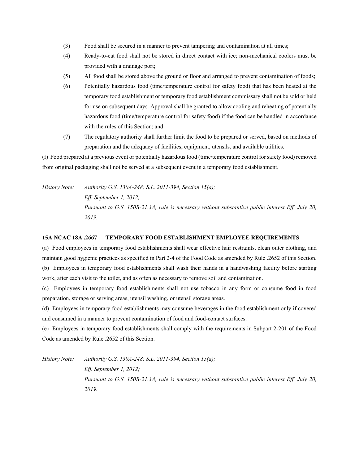- (3) Food shall be secured in a manner to prevent tampering and contamination at all times;
- (4) Ready-to-eat food shall not be stored in direct contact with ice; non-mechanical coolers must be provided with a drainage port;
- (5) All food shall be stored above the ground or floor and arranged to prevent contamination of foods;
- (6) Potentially hazardous food (time/temperature control for safety food) that has been heated at the temporary food establishment or temporary food establishment commissary shall not be sold or held for use on subsequent days. Approval shall be granted to allow cooling and reheating of potentially hazardous food (time/temperature control for safety food) if the food can be handled in accordance with the rules of this Section; and
- (7) The regulatory authority shall further limit the food to be prepared or served, based on methods of preparation and the adequacy of facilities, equipment, utensils, and available utilities.

(f) Food prepared at a previous event or potentially hazardous food (time/temperature control for safety food) removed from original packaging shall not be served at a subsequent event in a temporary food establishment.

*History Note: Authority G.S. 130A-248; S.L. 2011-394, Section 15(a); Eff. September 1, 2012; Pursuant to G.S. 150B-21.3A, rule is necessary without substantive public interest Eff. July 20, 2019.*

#### **15A NCAC 18A .2667 TEMPORARY FOOD ESTABLISHMENT EMPLOYEE REQUIREMENTS**

(a) Food employees in temporary food establishments shall wear effective hair restraints, clean outer clothing, and maintain good hygienic practices as specified in Part 2-4 of the Food Code as amended by Rule .2652 of this Section. (b) Employees in temporary food establishments shall wash their hands in a handwashing facility before starting work, after each visit to the toilet, and as often as necessary to remove soil and contamination.

(c) Employees in temporary food establishments shall not use tobacco in any form or consume food in food preparation, storage or serving areas, utensil washing, or utensil storage areas.

(d) Employees in temporary food establishments may consume beverages in the food establishment only if covered and consumed in a manner to prevent contamination of food and food-contact surfaces.

(e) Employees in temporary food establishments shall comply with the requirements in Subpart 2-201 of the Food Code as amended by Rule .2652 of this Section.

*History Note: Authority G.S. 130A-248; S.L. 2011-394, Section 15(a);*

*Eff. September 1, 2012; Pursuant to G.S. 150B-21.3A, rule is necessary without substantive public interest Eff. July 20, 2019.*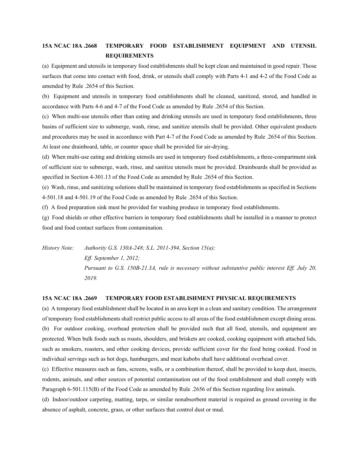# **15A NCAC 18A .2668 TEMPORARY FOOD ESTABLISHMENT EQUIPMENT AND UTENSIL REQUIREMENTS**

(a) Equipment and utensils in temporary food establishments shall be kept clean and maintained in good repair. Those surfaces that come into contact with food, drink, or utensils shall comply with Parts 4-1 and 4-2 of the Food Code as amended by Rule .2654 of this Section.

(b) Equipment and utensils in temporary food establishments shall be cleaned, sanitized, stored, and handled in accordance with Parts 4-6 and 4-7 of the Food Code as amended by Rule .2654 of this Section.

(c) When multi-use utensils other than eating and drinking utensils are used in temporary food establishments, three basins of sufficient size to submerge, wash, rinse, and sanitize utensils shall be provided. Other equivalent products and procedures may be used in accordance with Part 4-7 of the Food Code as amended by Rule .2654 of this Section. At least one drainboard, table, or counter space shall be provided for air-drying.

(d) When multi-use eating and drinking utensils are used in temporary food establishments, a three-compartment sink of sufficient size to submerge, wash, rinse, and sanitize utensils must be provided. Drainboards shall be provided as specified in Section 4-301.13 of the Food Code as amended by Rule .2654 of this Section.

(e) Wash, rinse, and sanitizing solutions shall be maintained in temporary food establishments as specified in Sections 4-501.18 and 4-501.19 of the Food Code as amended by Rule .2654 of this Section.

(f) A food preparation sink must be provided for washing produce in temporary food establishments.

(g) Food shields or other effective barriers in temporary food establishments shall be installed in a manner to protect food and food contact surfaces from contamination.

*History Note: Authority G.S. 130A-248; S.L. 2011-394, Section 15(a); Eff. September 1, 2012; Pursuant to G.S. 150B-21.3A, rule is necessary without substantive public interest Eff. July 20, 2019.*

#### **15A NCAC 18A .2669 TEMPORARY FOOD ESTABLISHMENT PHYSICAL REQUIREMENTS**

(a) A temporary food establishment shall be located in an area kept in a clean and sanitary condition. The arrangement of temporary food establishments shall restrict public access to all areas of the food establishment except dining areas. (b) For outdoor cooking, overhead protection shall be provided such that all food, utensils, and equipment are protected. When bulk foods such as roasts, shoulders, and briskets are cooked, cooking equipment with attached lids, such as smokers, roasters, and other cooking devices, provide sufficient cover for the food being cooked. Food in individual servings such as hot dogs, hamburgers, and meat kabobs shall have additional overhead cover.

(c) Effective measures such as fans, screens, walls, or a combination thereof, shall be provided to keep dust, insects, rodents, animals, and other sources of potential contamination out of the food establishment and shall comply with Paragraph 6-501.115(B) of the Food Code as amended by Rule .2656 of this Section regarding live animals.

(d) Indoor/outdoor carpeting, matting, tarps, or similar nonabsorbent material is required as ground covering in the absence of asphalt, concrete, grass, or other surfaces that control dust or mud.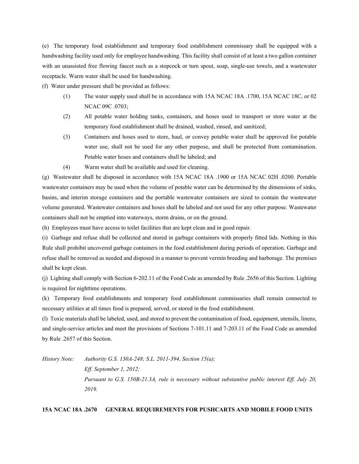(e) The temporary food establishment and temporary food establishment commissary shall be equipped with a handwashing facility used only for employee handwashing. This facility shall consist of at least a two gallon container with an unassisted free flowing faucet such as a stopcock or turn spout, soap, single-use towels, and a wastewater receptacle. Warm water shall be used for handwashing.

(f) Water under pressure shall be provided as follows:

- (1) The water supply used shall be in accordance with 15A NCAC 18A .1700, 15A NCAC 18C, or 02 NCAC 09C .0703;
- (2) All potable water holding tanks, containers, and hoses used to transport or store water at the temporary food establishment shall be drained, washed, rinsed, and sanitized;
- (3) Containers and hoses used to store, haul, or convey potable water shall be approved for potable water use, shall not be used for any other purpose, and shall be protected from contamination. Potable water hoses and containers shall be labeled; and
- (4) Warm water shall be available and used for cleaning.

(g) Wastewater shall be disposed in accordance with 15A NCAC 18A .1900 or 15A NCAC 02H .0200. Portable wastewater containers may be used when the volume of potable water can be determined by the dimensions of sinks, basins, and interim storage containers and the portable wastewater containers are sized to contain the wastewater volume generated. Wastewater containers and hoses shall be labeled and not used for any other purpose. Wastewater containers shall not be emptied into waterways, storm drains, or on the ground.

(h) Employees must have access to toilet facilities that are kept clean and in good repair.

(i) Garbage and refuse shall be collected and stored in garbage containers with properly fitted lids. Nothing in this Rule shall prohibit uncovered garbage containers in the food establishment during periods of operation. Garbage and refuse shall be removed as needed and disposed in a manner to prevent vermin breeding and harborage. The premises shall be kept clean.

(j) Lighting shall comply with Section 6-202.11 of the Food Code as amended by Rule .2656 of this Section. Lighting is required for nighttime operations.

(k) Temporary food establishments and temporary food establishment commissaries shall remain connected to necessary utilities at all times food is prepared, served, or stored in the food establishment.

(l) Toxic materials shall be labeled, used, and stored to prevent the contamination of food, equipment, utensils, linens, and single-service articles and meet the provisions of Sections 7-101.11 and 7-203.11 of the Food Code as amended by Rule .2657 of this Section.

*History Note: Authority G.S. 130A-248; S.L. 2011-394, Section 15(a);*

*Eff. September 1, 2012; Pursuant to G.S. 150B-21.3A, rule is necessary without substantive public interest Eff. July 20, 2019.*

## **15A NCAC 18A .2670 GENERAL REQUIREMENTS FOR PUSHCARTS AND MOBILE FOOD UNITS**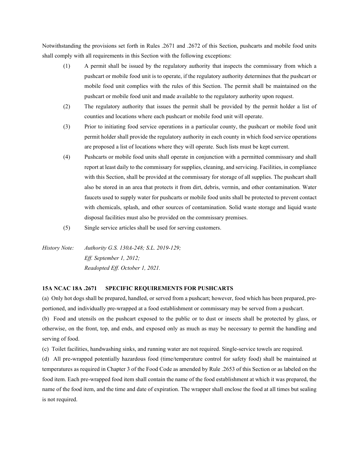Notwithstanding the provisions set forth in Rules .2671 and .2672 of this Section, pushcarts and mobile food units shall comply with all requirements in this Section with the following exceptions:

- (1) A permit shall be issued by the regulatory authority that inspects the commissary from which a pushcart or mobile food unit is to operate, if the regulatory authority determines that the pushcart or mobile food unit complies with the rules of this Section. The permit shall be maintained on the pushcart or mobile food unit and made available to the regulatory authority upon request.
- (2) The regulatory authority that issues the permit shall be provided by the permit holder a list of counties and locations where each pushcart or mobile food unit will operate.
- (3) Prior to initiating food service operations in a particular county, the pushcart or mobile food unit permit holder shall provide the regulatory authority in each county in which food service operations are proposed a list of locations where they will operate. Such lists must be kept current.
- (4) Pushcarts or mobile food units shall operate in conjunction with a permitted commissary and shall report at least daily to the commissary for supplies, cleaning, and servicing. Facilities, in compliance with this Section, shall be provided at the commissary for storage of all supplies. The pushcart shall also be stored in an area that protects it from dirt, debris, vermin, and other contamination. Water faucets used to supply water for pushcarts or mobile food units shall be protected to prevent contact with chemicals, splash, and other sources of contamination. Solid waste storage and liquid waste disposal facilities must also be provided on the commissary premises.
- (5) Single service articles shall be used for serving customers.

*History Note: Authority G.S. 130A-248; S.L. 2019-129; Eff. September 1, 2012; Readopted Eff. October 1, 2021.*

## **15A NCAC 18A .2671 SPECIFIC REQUIREMENTS FOR PUSHCARTS**

(a) Only hot dogs shall be prepared, handled, or served from a pushcart; however, food which has been prepared, preportioned, and individually pre-wrapped at a food establishment or commissary may be served from a pushcart. (b) Food and utensils on the pushcart exposed to the public or to dust or insects shall be protected by glass, or otherwise, on the front, top, and ends, and exposed only as much as may be necessary to permit the handling and serving of food.

(c) Toilet facilities, handwashing sinks, and running water are not required. Single-service towels are required.

(d) All pre-wrapped potentially hazardous food (time/temperature control for safety food) shall be maintained at temperatures as required in Chapter 3 of the Food Code as amended by Rule .2653 of this Section or as labeled on the food item. Each pre-wrapped food item shall contain the name of the food establishment at which it was prepared, the name of the food item, and the time and date of expiration. The wrapper shall enclose the food at all times but sealing is not required.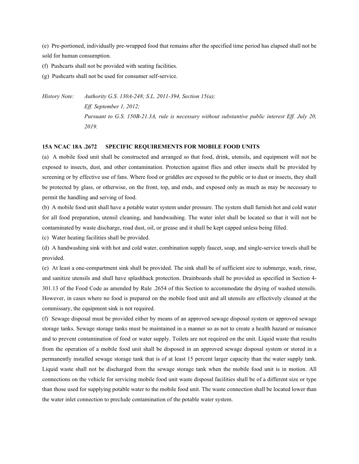(e) Pre-portioned, individually pre-wrapped food that remains after the specified time period has elapsed shall not be sold for human consumption.

(f) Pushcarts shall not be provided with seating facilities.

(g) Pushcarts shall not be used for consumer self-service.

*History Note: Authority G.S. 130A-248; S.L. 2011-394, Section 15(a); Eff. September 1, 2012; Pursuant to G.S. 150B-21.3A, rule is necessary without substantive public interest Eff. July 20, 2019.*

#### **15A NCAC 18A .2672 SPECIFIC REQUIREMENTS FOR MOBILE FOOD UNITS**

(a) A mobile food unit shall be constructed and arranged so that food, drink, utensils, and equipment will not be exposed to insects, dust, and other contamination. Protection against flies and other insects shall be provided by screening or by effective use of fans. Where food or griddles are exposed to the public or to dust or insects, they shall be protected by glass, or otherwise, on the front, top, and ends, and exposed only as much as may be necessary to permit the handling and serving of food.

(b) A mobile food unit shall have a potable water system under pressure. The system shall furnish hot and cold water for all food preparation, utensil cleaning, and handwashing. The water inlet shall be located so that it will not be contaminated by waste discharge, road dust, oil, or grease and it shall be kept capped unless being filled.

(c) Water heating facilities shall be provided.

(d) A handwashing sink with hot and cold water, combination supply faucet, soap, and single-service towels shall be provided.

(e) At least a one-compartment sink shall be provided. The sink shall be of sufficient size to submerge, wash, rinse, and sanitize utensils and shall have splashback protection. Drainboards shall be provided as specified in Section 4- 301.13 of the Food Code as amended by Rule .2654 of this Section to accommodate the drying of washed utensils. However, in cases where no food is prepared on the mobile food unit and all utensils are effectively cleaned at the commissary, the equipment sink is not required.

(f) Sewage disposal must be provided either by means of an approved sewage disposal system or approved sewage storage tanks. Sewage storage tanks must be maintained in a manner so as not to create a health hazard or nuisance and to prevent contamination of food or water supply. Toilets are not required on the unit. Liquid waste that results from the operation of a mobile food unit shall be disposed in an approved sewage disposal system or stored in a permanently installed sewage storage tank that is of at least 15 percent larger capacity than the water supply tank. Liquid waste shall not be discharged from the sewage storage tank when the mobile food unit is in motion. All connections on the vehicle for servicing mobile food unit waste disposal facilities shall be of a different size or type than those used for supplying potable water to the mobile food unit. The waste connection shall be located lower than the water inlet connection to preclude contamination of the potable water system.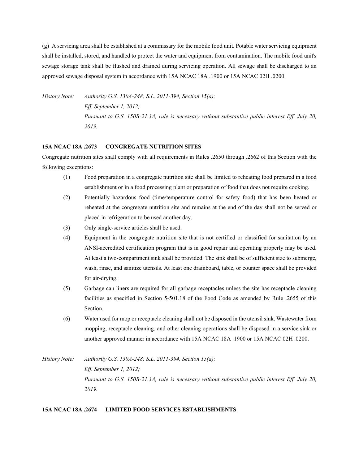(g) A servicing area shall be established at a commissary for the mobile food unit. Potable water servicing equipment shall be installed, stored, and handled to protect the water and equipment from contamination. The mobile food unit's sewage storage tank shall be flushed and drained during servicing operation. All sewage shall be discharged to an approved sewage disposal system in accordance with 15A NCAC 18A .1900 or 15A NCAC 02H .0200.

*History Note: Authority G.S. 130A-248; S.L. 2011-394, Section 15(a); Eff. September 1, 2012; Pursuant to G.S. 150B-21.3A, rule is necessary without substantive public interest Eff. July 20, 2019.*

#### **15A NCAC 18A .2673 CONGREGATE NUTRITION SITES**

Congregate nutrition sites shall comply with all requirements in Rules .2650 through .2662 of this Section with the following exceptions:

- (1) Food preparation in a congregate nutrition site shall be limited to reheating food prepared in a food establishment or in a food processing plant or preparation of food that does not require cooking.
- (2) Potentially hazardous food (time/temperature control for safety food) that has been heated or reheated at the congregate nutrition site and remains at the end of the day shall not be served or placed in refrigeration to be used another day.
- (3) Only single-service articles shall be used.
- (4) Equipment in the congregate nutrition site that is not certified or classified for sanitation by an ANSI-accredited certification program that is in good repair and operating properly may be used. At least a two-compartment sink shall be provided. The sink shall be of sufficient size to submerge, wash, rinse, and sanitize utensils. At least one drainboard, table, or counter space shall be provided for air-drying.
- (5) Garbage can liners are required for all garbage receptacles unless the site has receptacle cleaning facilities as specified in Section 5-501.18 of the Food Code as amended by Rule .2655 of this Section.
- (6) Water used for mop or receptacle cleaning shall not be disposed in the utensil sink. Wastewater from mopping, receptacle cleaning, and other cleaning operations shall be disposed in a service sink or another approved manner in accordance with 15A NCAC 18A .1900 or 15A NCAC 02H .0200.

*History Note: Authority G.S. 130A-248; S.L. 2011-394, Section 15(a); Eff. September 1, 2012; Pursuant to G.S. 150B-21.3A, rule is necessary without substantive public interest Eff. July 20, 2019.*

## **15A NCAC 18A .2674 LIMITED FOOD SERVICES ESTABLISHMENTS**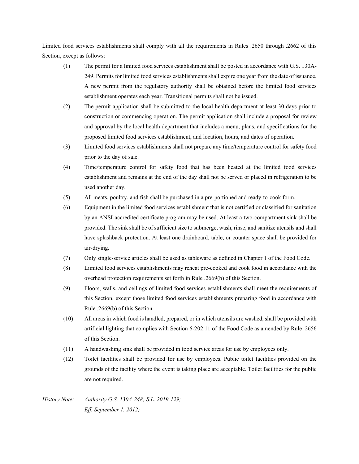Limited food services establishments shall comply with all the requirements in Rules .2650 through .2662 of this Section, except as follows:

- (1) The permit for a limited food services establishment shall be posted in accordance with G.S. 130A-249. Permits for limited food services establishments shall expire one year from the date of issuance. A new permit from the regulatory authority shall be obtained before the limited food services establishment operates each year. Transitional permits shall not be issued.
- (2) The permit application shall be submitted to the local health department at least 30 days prior to construction or commencing operation. The permit application shall include a proposal for review and approval by the local health department that includes a menu, plans, and specifications for the proposed limited food services establishment, and location, hours, and dates of operation.
- (3) Limited food services establishments shall not prepare any time/temperature control for safety food prior to the day of sale.
- (4) Time/temperature control for safety food that has been heated at the limited food services establishment and remains at the end of the day shall not be served or placed in refrigeration to be used another day.
- (5) All meats, poultry, and fish shall be purchased in a pre-portioned and ready-to-cook form.
- (6) Equipment in the limited food services establishment that is not certified or classified for sanitation by an ANSI-accredited certificate program may be used. At least a two-compartment sink shall be provided. The sink shall be of sufficient size to submerge, wash, rinse, and sanitize utensils and shall have splashback protection. At least one drainboard, table, or counter space shall be provided for air-drying.
- (7) Only single-service articles shall be used as tableware as defined in Chapter 1 of the Food Code.
- (8) Limited food services establishments may reheat pre-cooked and cook food in accordance with the overhead protection requirements set forth in Rule .2669(b) of this Section.
- (9) Floors, walls, and ceilings of limited food services establishments shall meet the requirements of this Section, except those limited food services establishments preparing food in accordance with Rule .2669(b) of this Section.
- (10) All areas in which food is handled, prepared, or in which utensils are washed, shall be provided with artificial lighting that complies with Section 6-202.11 of the Food Code as amended by Rule .2656 of this Section.
- (11) A handwashing sink shall be provided in food service areas for use by employees only.
- (12) Toilet facilities shall be provided for use by employees. Public toilet facilities provided on the grounds of the facility where the event is taking place are acceptable. Toilet facilities for the public are not required.

*History Note: Authority G.S. 130A-248; S.L. 2019-129; Eff. September 1, 2012;*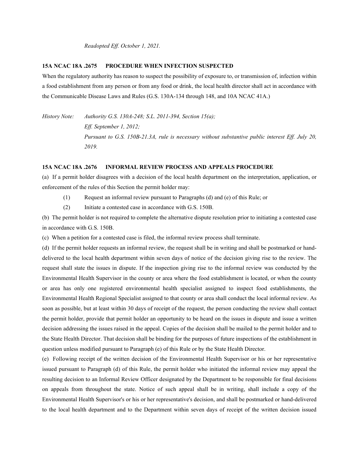*Readopted Eff. October 1, 2021.*

#### **15A NCAC 18A .2675 PROCEDURE WHEN INFECTION SUSPECTED**

When the regulatory authority has reason to suspect the possibility of exposure to, or transmission of, infection within a food establishment from any person or from any food or drink, the local health director shall act in accordance with the Communicable Disease Laws and Rules (G.S. 130A-134 through 148, and 10A NCAC 41A.)

*History Note: Authority G.S. 130A-248; S.L. 2011-394, Section 15(a); Eff. September 1, 2012; Pursuant to G.S. 150B-21.3A, rule is necessary without substantive public interest Eff. July 20, 2019.*

#### **15A NCAC 18A .2676 INFORMAL REVIEW PROCESS AND APPEALS PROCEDURE**

(a) If a permit holder disagrees with a decision of the local health department on the interpretation, application, or enforcement of the rules of this Section the permit holder may:

- (1) Request an informal review pursuant to Paragraphs (d) and (e) of this Rule; or
- (2) Initiate a contested case in accordance with G.S. 150B.

(b) The permit holder is not required to complete the alternative dispute resolution prior to initiating a contested case in accordance with G.S. 150B.

(c) When a petition for a contested case is filed, the informal review process shall terminate.

(d) If the permit holder requests an informal review, the request shall be in writing and shall be postmarked or handdelivered to the local health department within seven days of notice of the decision giving rise to the review. The request shall state the issues in dispute. If the inspection giving rise to the informal review was conducted by the Environmental Health Supervisor in the county or area where the food establishment is located, or when the county or area has only one registered environmental health specialist assigned to inspect food establishments, the Environmental Health Regional Specialist assigned to that county or area shall conduct the local informal review. As soon as possible, but at least within 30 days of receipt of the request, the person conducting the review shall contact the permit holder, provide that permit holder an opportunity to be heard on the issues in dispute and issue a written decision addressing the issues raised in the appeal. Copies of the decision shall be mailed to the permit holder and to the State Health Director. That decision shall be binding for the purposes of future inspections of the establishment in question unless modified pursuant to Paragraph (e) of this Rule or by the State Health Director.

(e) Following receipt of the written decision of the Environmental Health Supervisor or his or her representative issued pursuant to Paragraph (d) of this Rule, the permit holder who initiated the informal review may appeal the resulting decision to an Informal Review Officer designated by the Department to be responsible for final decisions on appeals from throughout the state. Notice of such appeal shall be in writing, shall include a copy of the Environmental Health Supervisor's or his or her representative's decision, and shall be postmarked or hand-delivered to the local health department and to the Department within seven days of receipt of the written decision issued